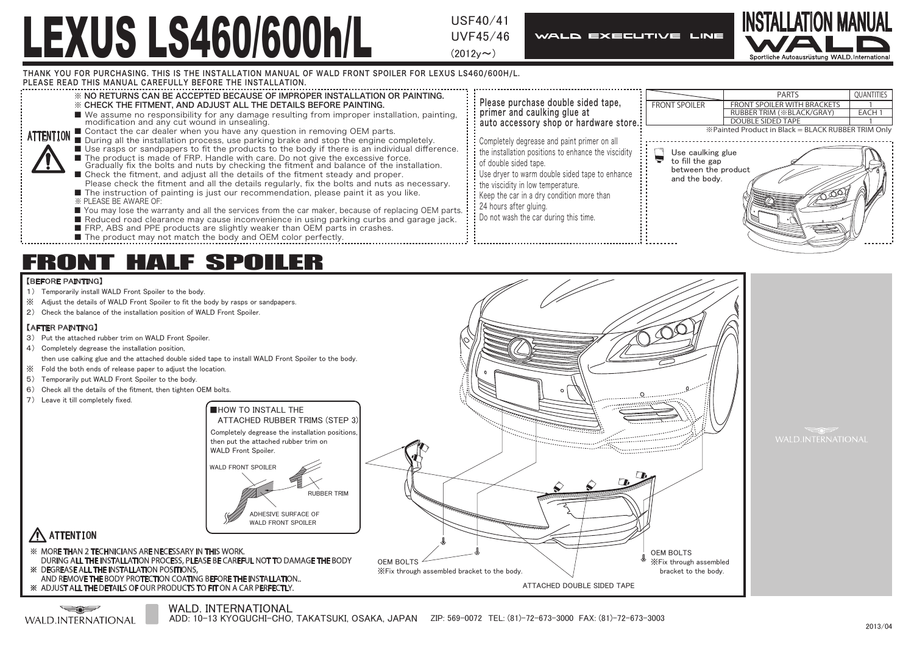UVF45/46

 $(2012v \sim)$ 

**WALD EXECUTIVE LINE** 



THANK YOU FOR PURCHASING. THIS IS THE INSTALLATION MANUAL OF WALD FRONT SPOILER FOR LEXUS LS460/600H/L.

PLEASE READ THIS MANUAL CAREFULLY BEFORE THE INSTALLATION.



## FRONT HALF SPOILER

## 【BEFORE PAINTING】

- 1) Temporarily install WALD Front Spoiler to the body.
- ※ Adjust the details of WALD Front Spoiler to fit the body by rasps or sandpapers.
- 2) Check the balance of the installation position of WALD Front Spoiler.

## 【AFTER PAINTING】

- 3) Put the attached rubber trim on WALD Front Spoiler.
- 4) Completely degrease the installation position, then use calking glue and the attached double sided tape to install WALD Front Spoiler to the body.
- ※ Fold the both ends of release paper to adjust the location.
- 5) Temporarily put WALD Front Spoiler to the body.
- 
- 6) Check all the details of the fitment, then tighten OEM bolts.
- 7) Leave it till completely fixed.



ATTENTION

※ MORE THAN 2 TECHNICIANS ARE NECESSARY IN THIS WORK. DURING ALL THE INSTALLATION PROCESS, PLEASE BE CAREFUL NOT TO DAMAGE THE BODY

※ DEGREASE ALL THE INSTALLATION POSITIONS,

※ ADJUST ALL THE DETAILS OF OUR PRODUCTS TO FIT ON A CAR PERFECTLY.

WALD. INTERNATIONAL كمستكب WALD INTERNATIONAL

ADD: 10-13 KYOGUCHI-CHO, TAKATSUKI, OSAKA, JAPAN ZIP: 569-0072 TEL: (81)-72-673-3000 FAX: (81)-72-673-3003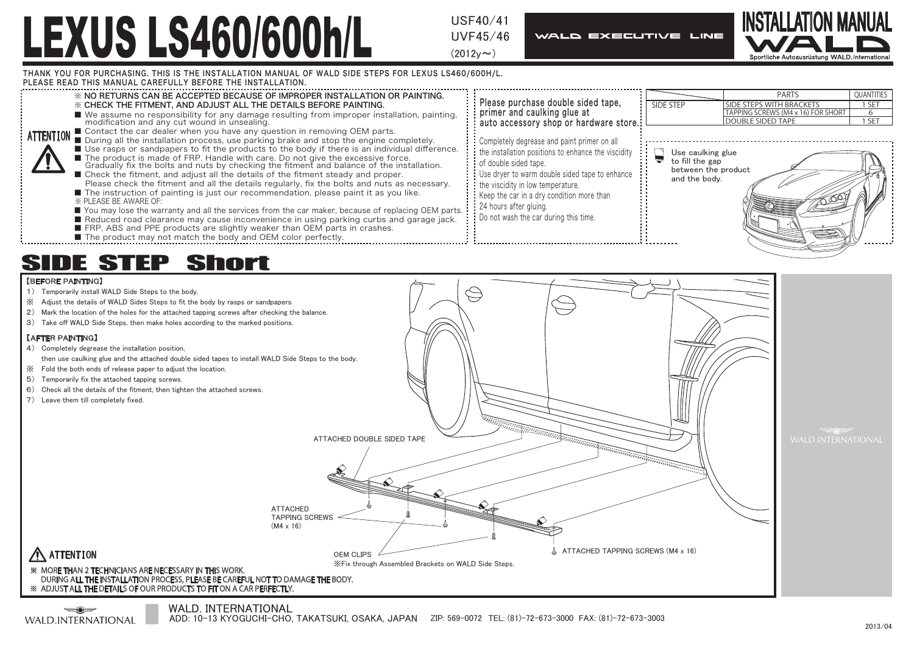UVF45/46

 $(2012v \sim)$ 

**WALD EXECUTIVE LINE** 



THANK YOU FOR PURCHASING. THIS IS THE INSTALLATION MANUAL OF WALD SIDE STEPS FOR LEXUS LS460/600H/L.

PLEASE READ THIS MANUAL CAREFULLY BEFORE THE INSTALLATION.



## SIDE STEP Short

## 【BEFORE PAINTING】

- 1) Temporarily install WALD Side Steps to the body.
- ※ Adjust the details of WALD Sides Steps to fit the body by rasps or sandpapers.
- 2) Mark the location of the holes for the attached tapping screws after checking the balance.
- 3) Take off WALD Side Steps, then make holes according to the marked positions.

## 【AFTER PAINTING】

- 4) Completely degrease the installation position,
- then use caulking glue and the attached double sided tapes to install WALD Side Steps to the body.
- ※ Fold the both ends of release paper to adjust the location.
- 5) Temporarily fix the attached tapping screws.
- 6) Check all the details of the fitment, then tighten the attached screws.
- 7) Leave them till completely fixed.



## ATTENTION

#### ※ MORE THAN 2 TECHNICIANS ARE NECESSARY IN THIS WORK. DURING ALL THE INSTALLATION PROCESS, PLEASE BE CAREFUL NOT TO DAMAGE THE BODY. ※ ADJUST ALL THE DETAILS OF OUR PRODUCTS TO FIT ON A CAR PERFECTLY.

 $\longrightarrow$ WALD INTERNATIONAL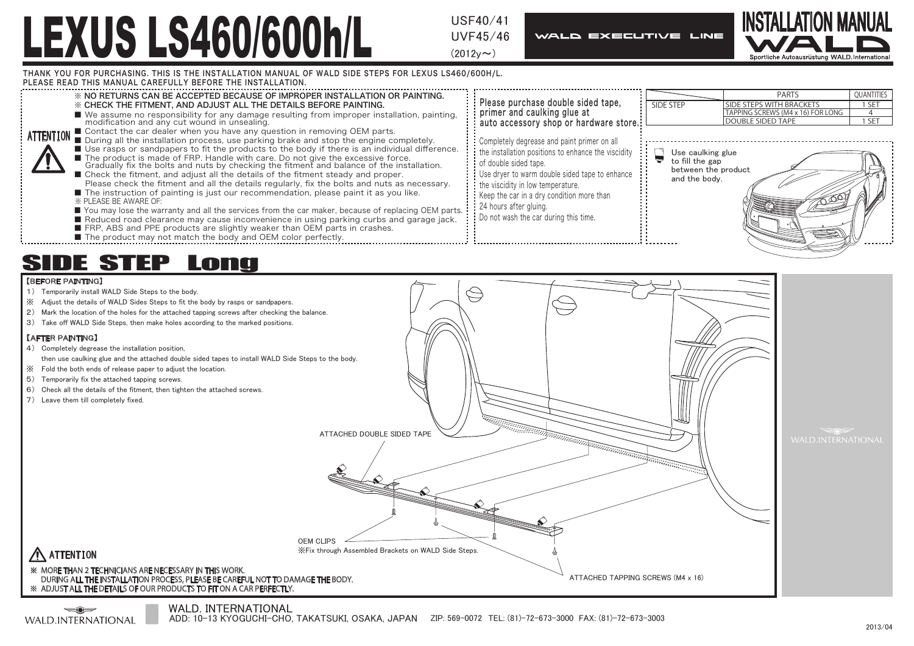UVF45/46

 $(2012v \sim)$ 

**WALD EXECUTIVE LINE** 



THANK YOU FOR PURCHASING. THIS IS THE INSTALLATION MANUAL OF WALD SIDE STEPS FOR LEXUS LS460/600H/L.

PLEASE READ THIS MANUAL CAREFULLY BEFORE THE INSTALLATION.



## SIDE STEP Long

## 【BEFORE PAINTING】

- 1) Temporarily install WALD Side Steps to the body.
- ※ Adjust the details of WALD Sides Steps to fit the body by rasps or sandpapers.
- 2) Mark the location of the holes for the attached tapping screws after checking the balance.
- 3) Take off WALD Side Steps, then make holes according to the marked positions.

## 【AFTER PAINTING】

- 4) Completely degrease the installation position,
- then use caulking glue and the attached double sided tapes to install WALD Side Steps to the body.
- ※ Fold the both ends of release paper to adjust the location.
- 5) Temporarily fix the attached tapping screws.
- 6) Check all the details of the fitment, then tighten the attached screws.
- 7) Leave them till completely fixed.



## ATTENTION

 $\longrightarrow$ WALD INTERNATIONAL

#### ※ MORE THAN 2 TECHNICIANS ARE NECESSARY IN THIS WORK. DURING ALL THE INSTALLATION PROCESS, PLEASE BE CAREFUL NOT TO DAMAGE THE BODY. ※ ADJUST ALL THE DETAILS OF OUR PRODUCTS TO FIT ON A CAR PERFECTLY.

### WALD. INTERNATIONAL

ADD: 10-13 KYOGUCHI-CHO, TAKATSUKI, OSAKA, JAPAN ZIP: 569-0072 TEL: (81)-72-673-3000 FAX: (81)-72-673-3003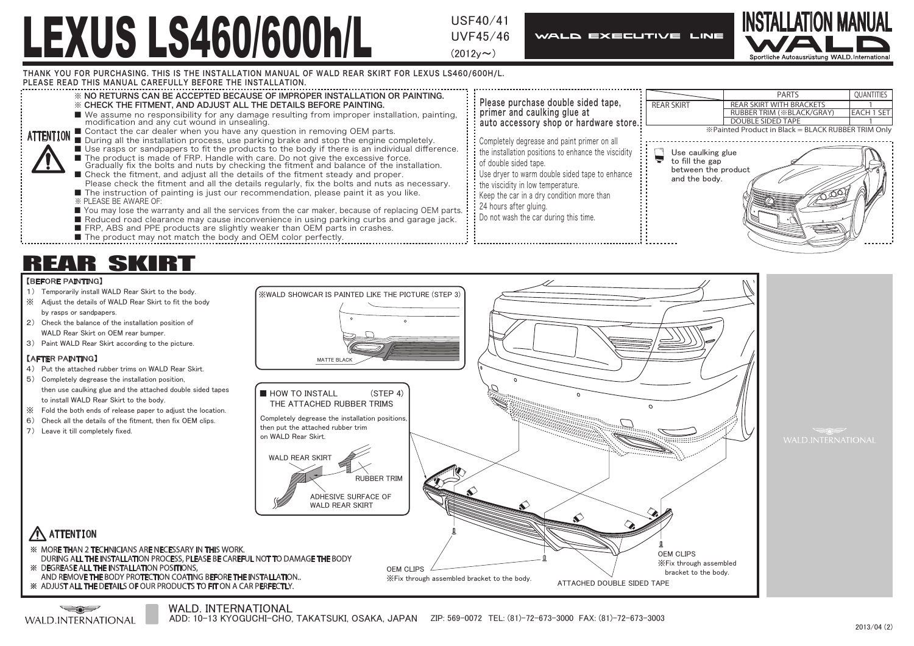UVF45/46

 $(2012v \sim)$ 

**WALD EXECUTIVE LINE** 



1

THANK YOU FOR PURCHASING. THIS IS THE INSTALLATION MANUAL OF WALD REAR SKIRT FOR LEXUS LS460/600H/L.



## REAR SKIRT

## 【BEFORE PAINTING】

- 1) Temporarily install WALD Rear Skirt to the body.
- ※ Adjust the details of WALD Rear Skirt to fit the body by rasps or sandpapers.
- 2) Check the balance of the installation position of WALD Rear Skirt on OEM rear bumper.
- 3) Paint WALD Rear Skirt according to the picture.

## 【AFTER PAINTING】

- 4) Put the attached rubber trims on WALD Rear Skirt.
- 5) Completely degrease the installation position, then use caulking glue and the attached double sided tapes to install WALD Rear Skirt to the body.
- ※ Fold the both ends of release paper to adjust the location.
- 6) Check all the details of the fitment, then fix OEM clips.
- 7) Leave it till completely fixed.



## WALD. INTERNATIONAL

ATTENTION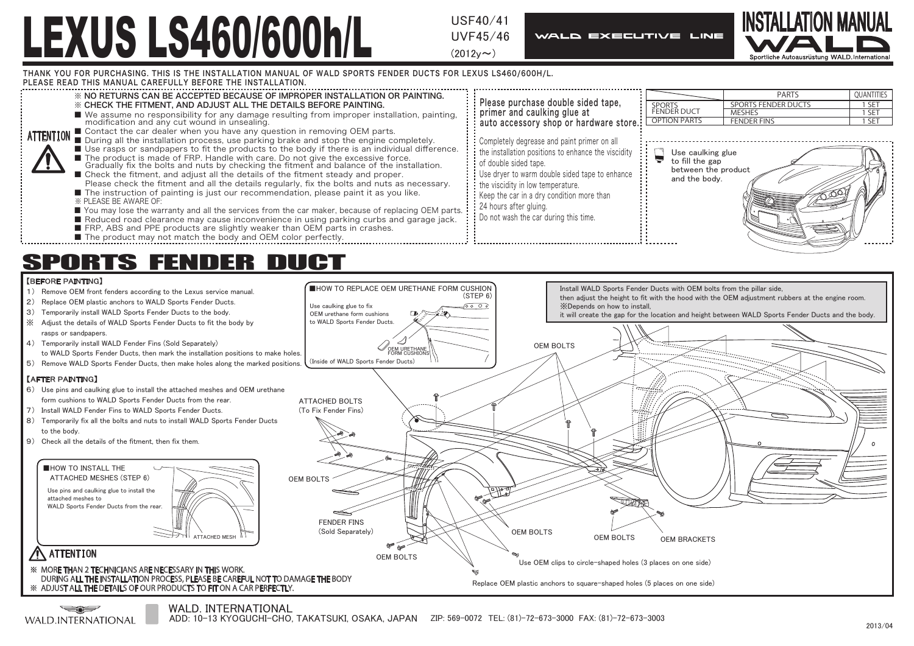UVF45/46

 $(2012v \sim)$ 

**WALD EXECUTIVE LINE** 



THANK YOU FOR PURCHASING. THIS IS THE INSTALLATION MANUAL OF WALD SPORTS FENDER DUCTS FOR LEXUS LS460/600H/L.

PLEASE READ THIS MANUAL CAREFULLY BEFORE THE INSTALLATION.





WALD. INTERNATIONAL

كمستكب WALD INTERNATIONAL

ADD: 10-13 KYOGUCHI-CHO, TAKATSUKI, OSAKA, JAPAN ZIP: 569-0072 TEL: (81)-72-673-3000 FAX: (81)-72-673-3003